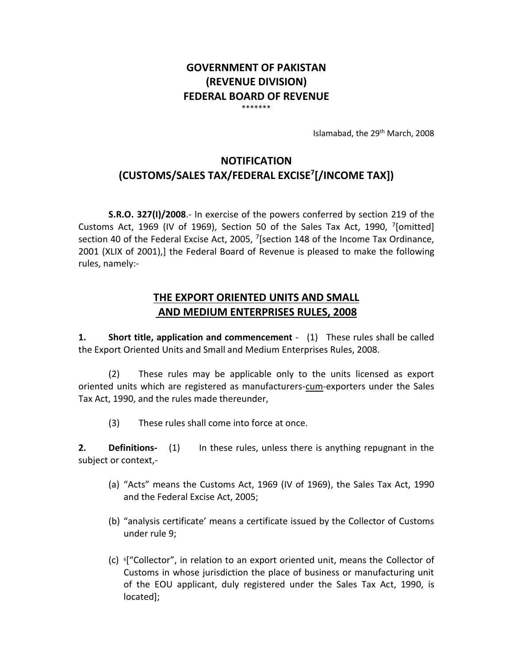# **GOVERNMENT OF PAKISTAN (REVENUE DIVISION) FEDERAL BOARD OF REVENUE** \*\*\*\*\*\*\*

Islamabad, the 29<sup>th</sup> March, 2008

# **NOTIFICATION (CUSTOMS/SALES TAX/FEDERAL EXCISE<sup>7</sup> [/INCOME TAX])**

**S.R.O. 327(I)/2008**.- In exercise of the powers conferred by section 219 of the Customs Act, 1969 (IV of 1969), Section 50 of the Sales Tax Act, 1990,  $7$ [omitted] section 40 of the Federal Excise Act, 2005,  $7$ [section 148 of the Income Tax Ordinance, 2001 (XLIX of 2001),] the Federal Board of Revenue is pleased to make the following rules, namely:-

# **THE EXPORT ORIENTED UNITS AND SMALL AND MEDIUM ENTERPRISES RULES, 2008**

**1. Short title, application and commencement** - (1) These rules shall be called the Export Oriented Units and Small and Medium Enterprises Rules, 2008.

(2) These rules may be applicable only to the units licensed as export oriented units which are registered as manufacturers-cum-exporters under the Sales Tax Act, 1990, and the rules made thereunder,

(3) These rules shall come into force at once.

**2. Definitions-** (1) In these rules, unless there is anything repugnant in the subject or context,-

- (a) "Acts" means the Customs Act, 1969 (IV of 1969), the Sales Tax Act, 1990 and the Federal Excise Act, 2005;
- (b) "analysis certificate' means a certificate issued by the Collector of Customs under rule 9;
- (c) <sup>6</sup>["Collector", in relation to an export oriented unit, means the Collector of Customs in whose jurisdiction the place of business or manufacturing unit of the EOU applicant, duly registered under the Sales Tax Act, 1990, is located];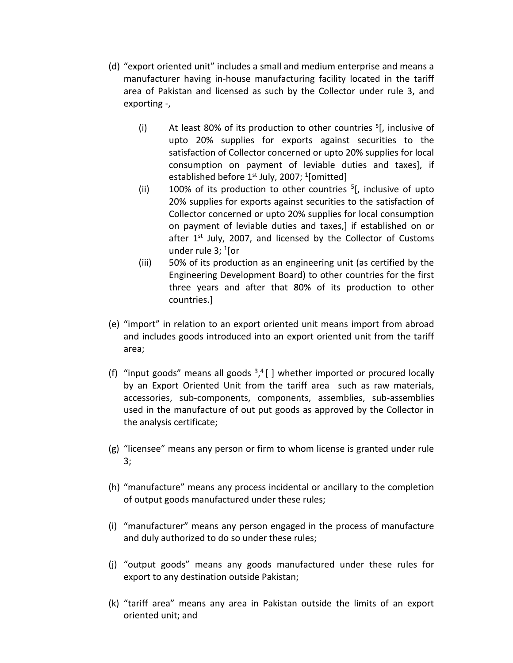- (d) "export oriented unit" includes a small and medium enterprise and means a manufacturer having in-house manufacturing facility located in the tariff area of Pakistan and licensed as such by the Collector under rule 3, and exporting -,
	- (i) At least 80% of its production to other countries  $5$ [, inclusive of upto 20% supplies for exports against securities to the satisfaction of Collector concerned or upto 20% supplies for local consumption on payment of leviable duties and taxes], if established before 1st July, 2007; <sup>1</sup>[omitted]
	- (ii) 100% of its production to other countries  $5$ [, inclusive of upto 20% supplies for exports against securities to the satisfaction of Collector concerned or upto 20% supplies for local consumption on payment of leviable duties and taxes,] if established on or after  $1^{st}$  July, 2007, and licensed by the Collector of Customs under rule 3; <sup>1</sup>[or
	- (iii) 50% of its production as an engineering unit (as certified by the Engineering Development Board) to other countries for the first three years and after that 80% of its production to other countries.]
- (e) "import" in relation to an export oriented unit means import from abroad and includes goods introduced into an export oriented unit from the tariff area;
- (f) "input goods" means all goods  $3,4$  [ ] whether imported or procured locally by an Export Oriented Unit from the tariff area such as raw materials, accessories, sub-components, components, assemblies, sub-assemblies used in the manufacture of out put goods as approved by the Collector in the analysis certificate;
- (g) "licensee" means any person or firm to whom license is granted under rule 3;
- (h) "manufacture" means any process incidental or ancillary to the completion of output goods manufactured under these rules;
- (i) "manufacturer" means any person engaged in the process of manufacture and duly authorized to do so under these rules;
- (j) "output goods" means any goods manufactured under these rules for export to any destination outside Pakistan;
- (k) "tariff area" means any area in Pakistan outside the limits of an export oriented unit; and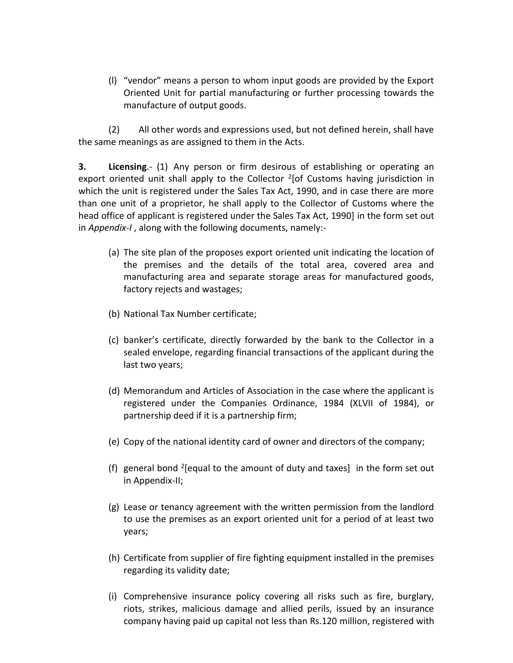(l) "vendor" means a person to whom input goods are provided by the Export Oriented Unit for partial manufacturing or further processing towards the manufacture of output goods.

(2) All other words and expressions used, but not defined herein, shall have the same meanings as are assigned to them in the Acts.

**3. Licensing**.- (1) Any person or firm desirous of establishing or operating an export oriented unit shall apply to the Collector <sup>2</sup>[of Customs having jurisdiction in which the unit is registered under the Sales Tax Act, 1990, and in case there are more than one unit of a proprietor, he shall apply to the Collector of Customs where the head office of applicant is registered under the Sales Tax Act, 1990] in the form set out in *Appendix-I* , along with the following documents, namely:-

- (a) The site plan of the proposes export oriented unit indicating the location of the premises and the details of the total area, covered area and manufacturing area and separate storage areas for manufactured goods, factory rejects and wastages;
- (b) National Tax Number certificate;
- (c) banker's certificate, directly forwarded by the bank to the Collector in a sealed envelope, regarding financial transactions of the applicant during the last two years;
- (d) Memorandum and Articles of Association in the case where the applicant is registered under the Companies Ordinance, 1984 (XLVII of 1984), or partnership deed if it is a partnership firm;
- (e) Copy of the national identity card of owner and directors of the company;
- (f) general bond <sup>2</sup> [equal to the amount of duty and taxes] in the form set out in Appendix-II;
- (g) Lease or tenancy agreement with the written permission from the landlord to use the premises as an export oriented unit for a period of at least two years;
- (h) Certificate from supplier of fire fighting equipment installed in the premises regarding its validity date;
- (i) Comprehensive insurance policy covering all risks such as fire, burglary, riots, strikes, malicious damage and allied perils, issued by an insurance company having paid up capital not less than Rs.120 million, registered with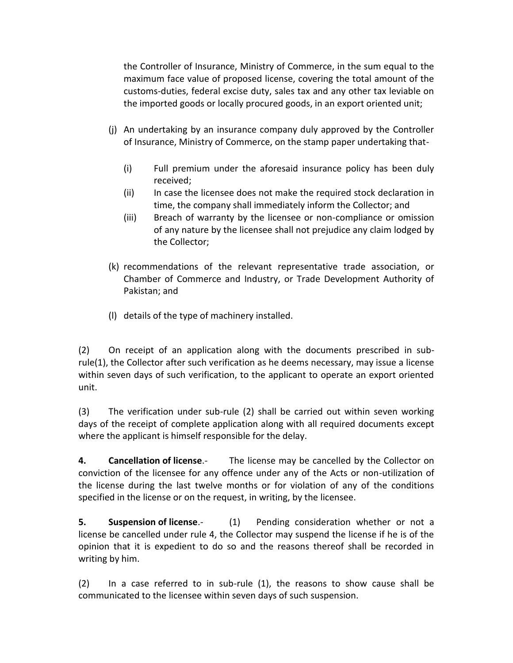the Controller of Insurance, Ministry of Commerce, in the sum equal to the maximum face value of proposed license, covering the total amount of the customs-duties, federal excise duty, sales tax and any other tax leviable on the imported goods or locally procured goods, in an export oriented unit;

- (j) An undertaking by an insurance company duly approved by the Controller of Insurance, Ministry of Commerce, on the stamp paper undertaking that-
	- (i) Full premium under the aforesaid insurance policy has been duly received;
	- (ii) In case the licensee does not make the required stock declaration in time, the company shall immediately inform the Collector; and
	- (iii) Breach of warranty by the licensee or non-compliance or omission of any nature by the licensee shall not prejudice any claim lodged by the Collector;
- (k) recommendations of the relevant representative trade association, or Chamber of Commerce and Industry, or Trade Development Authority of Pakistan; and
- (l) details of the type of machinery installed.

(2) On receipt of an application along with the documents prescribed in subrule(1), the Collector after such verification as he deems necessary, may issue a license within seven days of such verification, to the applicant to operate an export oriented unit.

(3) The verification under sub-rule (2) shall be carried out within seven working days of the receipt of complete application along with all required documents except where the applicant is himself responsible for the delay.

**4. Cancellation of license**.- The license may be cancelled by the Collector on conviction of the licensee for any offence under any of the Acts or non-utilization of the license during the last twelve months or for violation of any of the conditions specified in the license or on the request, in writing, by the licensee.

**5. Suspension of license**. **(1)** Pending consideration whether or not a license be cancelled under rule 4, the Collector may suspend the license if he is of the opinion that it is expedient to do so and the reasons thereof shall be recorded in writing by him.

(2) In a case referred to in sub-rule (1), the reasons to show cause shall be communicated to the licensee within seven days of such suspension.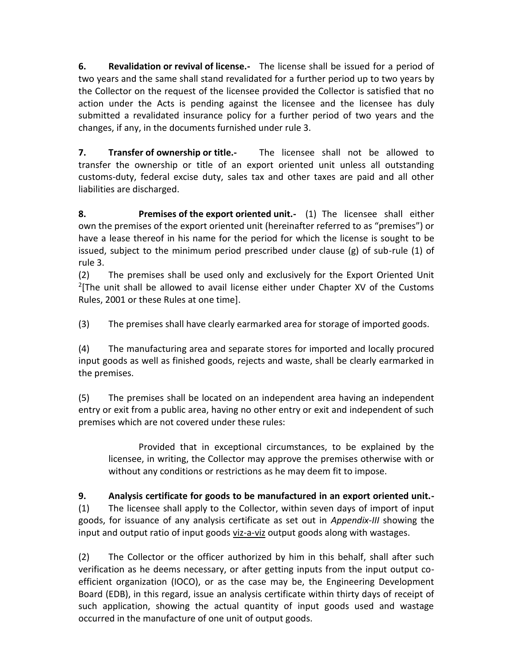**6. Revalidation or revival of license.-** The license shall be issued for a period of two years and the same shall stand revalidated for a further period up to two years by the Collector on the request of the licensee provided the Collector is satisfied that no action under the Acts is pending against the licensee and the licensee has duly submitted a revalidated insurance policy for a further period of two years and the changes, if any, in the documents furnished under rule 3.

**7. Transfer of ownership or title.-** The licensee shall not be allowed to transfer the ownership or title of an export oriented unit unless all outstanding customs-duty, federal excise duty, sales tax and other taxes are paid and all other liabilities are discharged.

**8. Premises of the export oriented unit.-** (1) The licensee shall either own the premises of the export oriented unit (hereinafter referred to as "premises") or have a lease thereof in his name for the period for which the license is sought to be issued, subject to the minimum period prescribed under clause (g) of sub-rule (1) of rule 3.

(2) The premises shall be used only and exclusively for the Export Oriented Unit  $2$ [The unit shall be allowed to avail license either under Chapter XV of the Customs Rules, 2001 or these Rules at one time].

(3) The premises shall have clearly earmarked area for storage of imported goods.

(4) The manufacturing area and separate stores for imported and locally procured input goods as well as finished goods, rejects and waste, shall be clearly earmarked in the premises.

(5) The premises shall be located on an independent area having an independent entry or exit from a public area, having no other entry or exit and independent of such premises which are not covered under these rules:

Provided that in exceptional circumstances, to be explained by the licensee, in writing, the Collector may approve the premises otherwise with or without any conditions or restrictions as he may deem fit to impose.

**9. Analysis certificate for goods to be manufactured in an export oriented unit.-** (1) The licensee shall apply to the Collector, within seven days of import of input goods, for issuance of any analysis certificate as set out in *Appendix-III* showing the input and output ratio of input goods viz-a-viz output goods along with wastages.

(2) The Collector or the officer authorized by him in this behalf, shall after such verification as he deems necessary, or after getting inputs from the input output coefficient organization (IOCO), or as the case may be, the Engineering Development Board (EDB), in this regard, issue an analysis certificate within thirty days of receipt of such application, showing the actual quantity of input goods used and wastage occurred in the manufacture of one unit of output goods.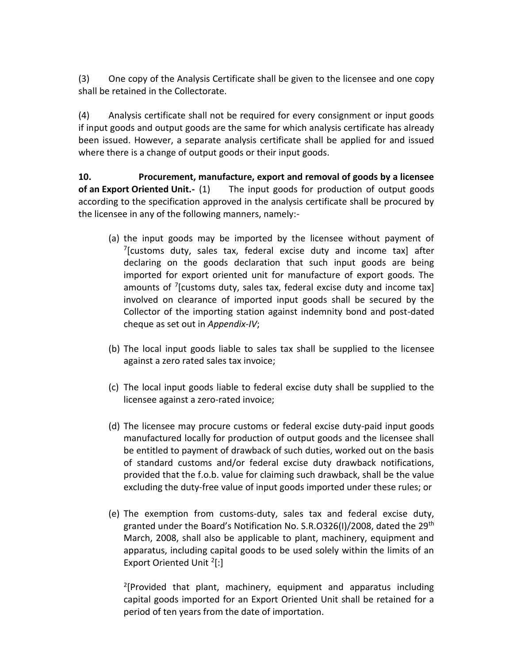(3) One copy of the Analysis Certificate shall be given to the licensee and one copy shall be retained in the Collectorate.

(4) Analysis certificate shall not be required for every consignment or input goods if input goods and output goods are the same for which analysis certificate has already been issued. However, a separate analysis certificate shall be applied for and issued where there is a change of output goods or their input goods.

**10. Procurement, manufacture, export and removal of goods by a licensee of an Export Oriented Unit.-** (1) The input goods for production of output goods according to the specification approved in the analysis certificate shall be procured by the licensee in any of the following manners, namely:-

- (a) the input goods may be imported by the licensee without payment of <sup>7</sup>[customs duty, sales tax, federal excise duty and income tax] after declaring on the goods declaration that such input goods are being imported for export oriented unit for manufacture of export goods. The amounts of <sup>7</sup>[customs duty, sales tax, federal excise duty and income tax] involved on clearance of imported input goods shall be secured by the Collector of the importing station against indemnity bond and post-dated cheque as set out in *Appendix-IV*;
- (b) The local input goods liable to sales tax shall be supplied to the licensee against a zero rated sales tax invoice;
- (c) The local input goods liable to federal excise duty shall be supplied to the licensee against a zero-rated invoice;
- (d) The licensee may procure customs or federal excise duty-paid input goods manufactured locally for production of output goods and the licensee shall be entitled to payment of drawback of such duties, worked out on the basis of standard customs and/or federal excise duty drawback notifications, provided that the f.o.b. value for claiming such drawback, shall be the value excluding the duty-free value of input goods imported under these rules; or
- (e) The exemption from customs-duty, sales tax and federal excise duty, granted under the Board's Notification No. S.R.O326(I)/2008, dated the 29<sup>th</sup> March, 2008, shall also be applicable to plant, machinery, equipment and apparatus, including capital goods to be used solely within the limits of an Export Oriented Unit<sup>2</sup>[:]

<sup>2</sup>[Provided that plant, machinery, equipment and apparatus including capital goods imported for an Export Oriented Unit shall be retained for a period of ten years from the date of importation.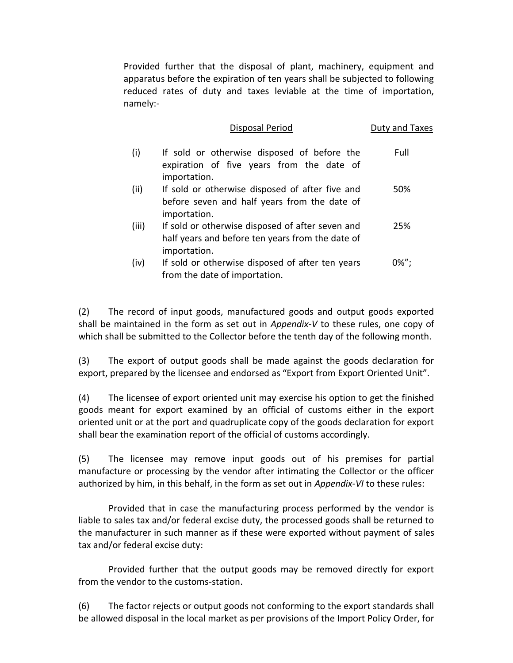Provided further that the disposal of plant, machinery, equipment and apparatus before the expiration of ten years shall be subjected to following reduced rates of duty and taxes leviable at the time of importation, namely:-

|       | <b>Disposal Period</b>                                                                                               | Duty and Taxes |
|-------|----------------------------------------------------------------------------------------------------------------------|----------------|
| (i)   | If sold or otherwise disposed of before the<br>expiration of five years from the date of<br>importation.             | Full           |
| (ii)  | If sold or otherwise disposed of after five and<br>before seven and half years from the date of<br>importation.      | 50%            |
| (iii) | If sold or otherwise disposed of after seven and<br>half years and before ten years from the date of<br>importation. | 25%            |
| (iv)  | If sold or otherwise disposed of after ten years<br>from the date of importation.                                    | $0\%$ ";       |

(2) The record of input goods, manufactured goods and output goods exported shall be maintained in the form as set out in *Appendix-V* to these rules, one copy of which shall be submitted to the Collector before the tenth day of the following month.

(3) The export of output goods shall be made against the goods declaration for export, prepared by the licensee and endorsed as "Export from Export Oriented Unit".

(4) The licensee of export oriented unit may exercise his option to get the finished goods meant for export examined by an official of customs either in the export oriented unit or at the port and quadruplicate copy of the goods declaration for export shall bear the examination report of the official of customs accordingly.

(5) The licensee may remove input goods out of his premises for partial manufacture or processing by the vendor after intimating the Collector or the officer authorized by him, in this behalf, in the form as set out in *Appendix-VI* to these rules:

Provided that in case the manufacturing process performed by the vendor is liable to sales tax and/or federal excise duty, the processed goods shall be returned to the manufacturer in such manner as if these were exported without payment of sales tax and/or federal excise duty:

Provided further that the output goods may be removed directly for export from the vendor to the customs-station.

(6) The factor rejects or output goods not conforming to the export standards shall be allowed disposal in the local market as per provisions of the Import Policy Order, for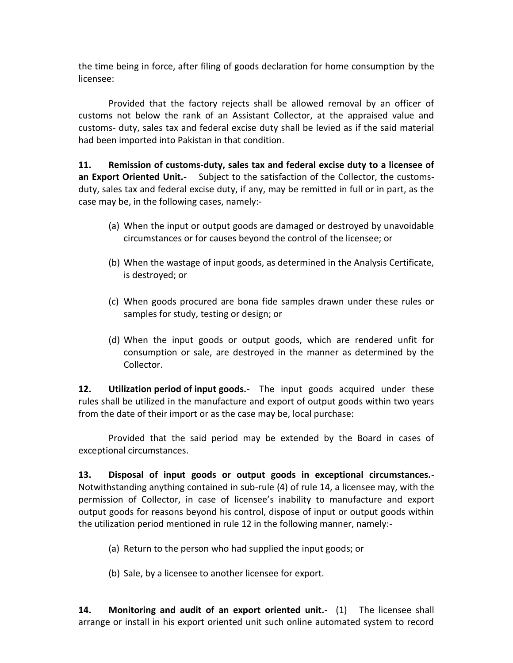the time being in force, after filing of goods declaration for home consumption by the licensee:

Provided that the factory rejects shall be allowed removal by an officer of customs not below the rank of an Assistant Collector, at the appraised value and customs- duty, sales tax and federal excise duty shall be levied as if the said material had been imported into Pakistan in that condition.

**11. Remission of customs-duty, sales tax and federal excise duty to a licensee of an Export Oriented Unit.-** Subject to the satisfaction of the Collector, the customsduty, sales tax and federal excise duty, if any, may be remitted in full or in part, as the case may be, in the following cases, namely:-

- (a) When the input or output goods are damaged or destroyed by unavoidable circumstances or for causes beyond the control of the licensee; or
- (b) When the wastage of input goods, as determined in the Analysis Certificate, is destroyed; or
- (c) When goods procured are bona fide samples drawn under these rules or samples for study, testing or design; or
- (d) When the input goods or output goods, which are rendered unfit for consumption or sale, are destroyed in the manner as determined by the Collector.

**12. Utilization period of input goods.-** The input goods acquired under these rules shall be utilized in the manufacture and export of output goods within two years from the date of their import or as the case may be, local purchase:

Provided that the said period may be extended by the Board in cases of exceptional circumstances.

**13. Disposal of input goods or output goods in exceptional circumstances.-** Notwithstanding anything contained in sub-rule (4) of rule 14, a licensee may, with the permission of Collector, in case of licensee's inability to manufacture and export output goods for reasons beyond his control, dispose of input or output goods within the utilization period mentioned in rule 12 in the following manner, namely:-

- (a) Return to the person who had supplied the input goods; or
- (b) Sale, by a licensee to another licensee for export.

**14. Monitoring and audit of an export oriented unit.-** (1) The licensee shall arrange or install in his export oriented unit such online automated system to record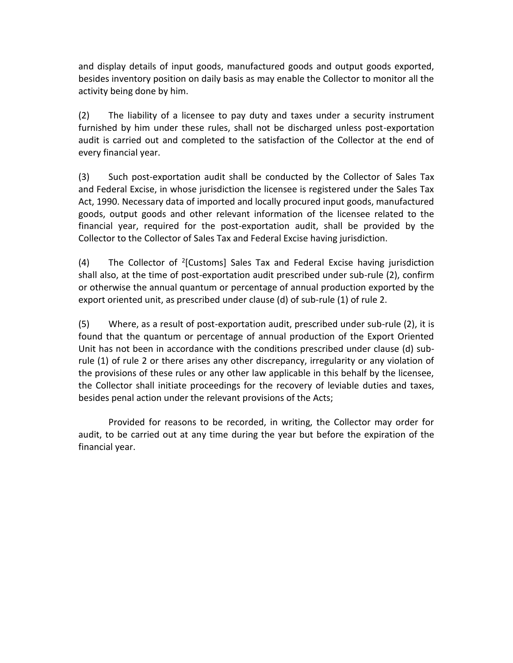and display details of input goods, manufactured goods and output goods exported, besides inventory position on daily basis as may enable the Collector to monitor all the activity being done by him.

(2) The liability of a licensee to pay duty and taxes under a security instrument furnished by him under these rules, shall not be discharged unless post-exportation audit is carried out and completed to the satisfaction of the Collector at the end of every financial year.

(3) Such post-exportation audit shall be conducted by the Collector of Sales Tax and Federal Excise, in whose jurisdiction the licensee is registered under the Sales Tax Act, 1990. Necessary data of imported and locally procured input goods, manufactured goods, output goods and other relevant information of the licensee related to the financial year, required for the post-exportation audit, shall be provided by the Collector to the Collector of Sales Tax and Federal Excise having jurisdiction.

(4) The Collector of <sup>2</sup>[Customs] Sales Tax and Federal Excise having jurisdiction shall also, at the time of post-exportation audit prescribed under sub-rule (2), confirm or otherwise the annual quantum or percentage of annual production exported by the export oriented unit, as prescribed under clause (d) of sub-rule (1) of rule 2.

(5) Where, as a result of post-exportation audit, prescribed under sub-rule (2), it is found that the quantum or percentage of annual production of the Export Oriented Unit has not been in accordance with the conditions prescribed under clause (d) subrule (1) of rule 2 or there arises any other discrepancy, irregularity or any violation of the provisions of these rules or any other law applicable in this behalf by the licensee, the Collector shall initiate proceedings for the recovery of leviable duties and taxes, besides penal action under the relevant provisions of the Acts;

Provided for reasons to be recorded, in writing, the Collector may order for audit, to be carried out at any time during the year but before the expiration of the financial year.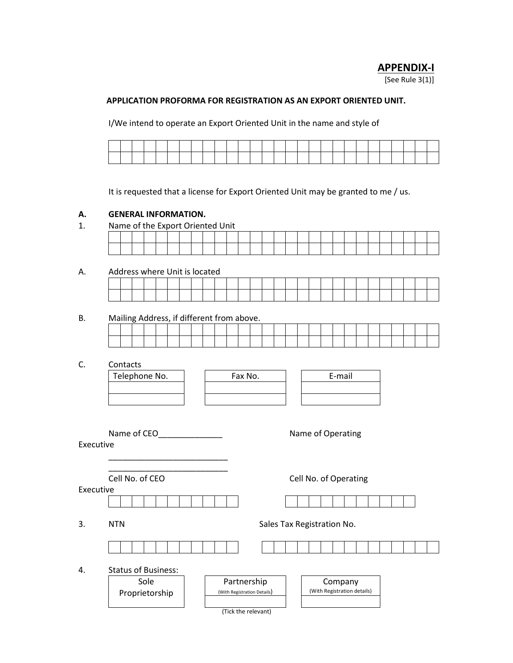# **APPENDIX-I**

[See Rule 3(1)]

#### **APPLICATION PROFORMA FOR REGISTRATION AS AN EXPORT ORIENTED UNIT.**

I/We intend to operate an Export Oriented Unit in the name and style of

|      | and the contract of the contract of | the contract of the contract of the contract of the contract of the contract of |                                       | and the contract of the contract of             |                                                                                     |                                                 |                                                                                                                 |                                                 | the contract of the contract of the contract of the contract of the contract of the contract of the contract of     |  | the contract of the contract of the contract of the contract of the contract of |  | and the state of the state of the state of                                                                          | the contract of the contract of the contract of |                                   | the contract of the contract of |                                                                                                                     |  |
|------|-------------------------------------|---------------------------------------------------------------------------------|---------------------------------------|-------------------------------------------------|-------------------------------------------------------------------------------------|-------------------------------------------------|-----------------------------------------------------------------------------------------------------------------|-------------------------------------------------|---------------------------------------------------------------------------------------------------------------------|--|---------------------------------------------------------------------------------|--|---------------------------------------------------------------------------------------------------------------------|-------------------------------------------------|-----------------------------------|---------------------------------|---------------------------------------------------------------------------------------------------------------------|--|
| ____ |                                     |                                                                                 | <b>The Community of the Community</b> | the contract of the contract of the contract of | and the contract of the contract of the contract of the contract of the contract of | the contract of the contract of the contract of | the contract of the contract of the contract of the contract of the contract of the contract of the contract of | the contract of the contract of the contract of | and the contract of the contract of the contract of the contract of the contract of the contract of the contract of |  |                                                                                 |  | and the contract of the contract of the contract of the contract of the contract of the contract of the contract of | and the contract of the contract of             | and the state of the state of the |                                 | and the contract of the contract of the contract of the contract of the contract of the contract of the contract of |  |

It is requested that a license for Export Oriented Unit may be granted to me / us.

#### **A. GENERAL INFORMATION.**

1. Name of the Export Oriented Unit

### A. Address where Unit is located

|  |  |  |  | $1.001$ CJJ $1.11$ CTC OTHER TO TO CULTURE |  |  |  |  |  |  |  |  |  |  |
|--|--|--|--|--------------------------------------------|--|--|--|--|--|--|--|--|--|--|
|  |  |  |  |                                            |  |  |  |  |  |  |  |  |  |  |
|  |  |  |  |                                            |  |  |  |  |  |  |  |  |  |  |

# B. Mailing Address, if different from above.

C. Contacts

| Telephone No. |  |
|---------------|--|
|               |  |
|               |  |

| υπιατισ       |         |        |
|---------------|---------|--------|
| Telephone No. | Fax No. | E-mail |
|               |         |        |
|               |         |        |

| E-mail |  |
|--------|--|
|        |  |
|        |  |
|        |  |

| Name of CEO |  |  |
|-------------|--|--|
|             |  |  |

Name of Operating

Executive

\_\_\_\_\_\_\_\_\_\_\_\_\_\_\_\_\_\_\_\_\_\_\_\_\_\_ Cell No. of CEO Cell No. of Operating

\_\_\_\_\_\_\_\_\_\_\_\_\_\_\_\_\_\_\_\_\_\_\_\_\_\_

Executive





4. Status

3. NTN Sales Tax Registration No.

|  | of Business: |  |  |  |  |  |  |  |  |  |
|--|--------------|--|--|--|--|--|--|--|--|--|



(Tick the relevant)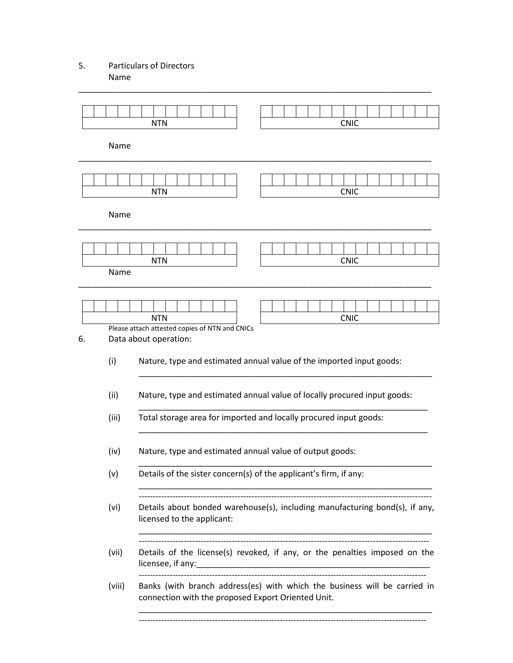# 5. Particulars of Directors Name

|        | <b>NTN</b>                                                              | <b>CNIC</b>                                                                 |
|--------|-------------------------------------------------------------------------|-----------------------------------------------------------------------------|
| Name   |                                                                         |                                                                             |
|        | <b>NTN</b>                                                              | <b>CNIC</b>                                                                 |
| Name   |                                                                         |                                                                             |
| Name   | <b>NTN</b>                                                              | <b>CNIC</b>                                                                 |
|        | <b>NTN</b>                                                              | <b>CNIC</b>                                                                 |
| 6.     | Please attach attested copies of NTN and CNICs<br>Data about operation: |                                                                             |
| (i)    |                                                                         | Nature, type and estimated annual value of the imported input goods:        |
| (ii)   |                                                                         | Nature, type and estimated annual value of locally procured input goods:    |
| (iii)  |                                                                         | Total storage area for imported and locally procured input goods:           |
| (iv)   | Nature, type and estimated annual value of output goods:                |                                                                             |
| (v)    | Details of the sister concern(s) of the applicant's firm, if any:       |                                                                             |
| (vi)   | licensed to the applicant:                                              | Details about bonded warehouse(s), including manufacturing bond(s), if any, |
| (vii)  |                                                                         | Details of the license(s) revoked, if any, or the penalties imposed on the  |
| (viii) | connection with the proposed Export Oriented Unit.                      | Banks (with branch address(es) with which the business will be carried in   |
|        |                                                                         |                                                                             |

\_\_\_\_\_\_\_\_\_\_\_\_\_\_\_\_\_\_\_\_\_\_\_\_\_\_\_\_\_\_\_\_\_\_\_\_\_\_\_\_\_\_\_\_\_\_\_\_\_\_\_\_\_\_\_\_\_\_\_\_\_\_\_\_\_\_\_\_\_\_\_\_\_\_\_\_\_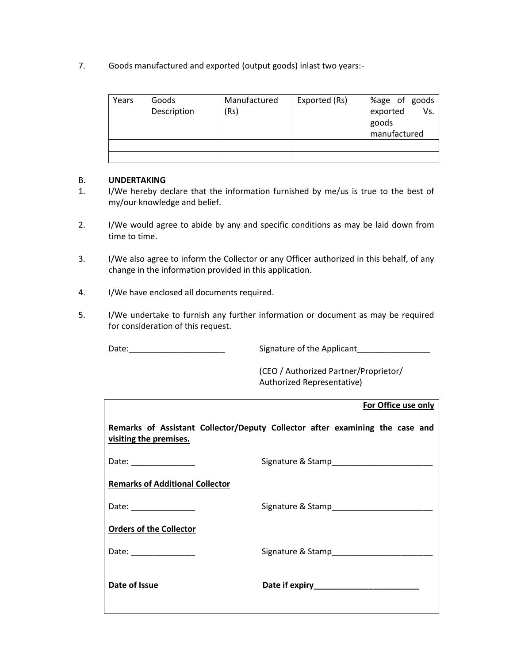7. Goods manufactured and exported (output goods) inlast two years:-

| Years | Goods<br>Description | Manufactured<br>(Rs) | Exported (Rs) | %age of goods<br>Vs.<br>exported<br>goods<br>manufactured |
|-------|----------------------|----------------------|---------------|-----------------------------------------------------------|
|       |                      |                      |               |                                                           |
|       |                      |                      |               |                                                           |

### B. **UNDERTAKING**

- 1. I/We hereby declare that the information furnished by me/us is true to the best of my/our knowledge and belief.
- 2. I/We would agree to abide by any and specific conditions as may be laid down from time to time.
- 3. I/We also agree to inform the Collector or any Officer authorized in this behalf, of any change in the information provided in this application.
- 4. I/We have enclosed all documents required.
- 5. I/We undertake to furnish any further information or document as may be required for consideration of this request.

Date:\_\_\_\_\_\_\_\_\_\_\_\_\_\_\_\_\_\_\_\_\_ Signature of the Applicant\_\_\_\_\_\_\_\_\_\_\_\_\_\_\_\_

(CEO / Authorized Partner/Proprietor/ Authorized Representative)

|                                        | For Office use only                                                          |
|----------------------------------------|------------------------------------------------------------------------------|
| visiting the premises.                 | Remarks of Assistant Collector/Deputy Collector after examining the case and |
| Date: ________________                 |                                                                              |
| <b>Remarks of Additional Collector</b> |                                                                              |
| Date: ________________                 |                                                                              |
| <b>Orders of the Collector</b>         |                                                                              |
| Date: <u>_____________________</u>     |                                                                              |
| Date of Issue                          |                                                                              |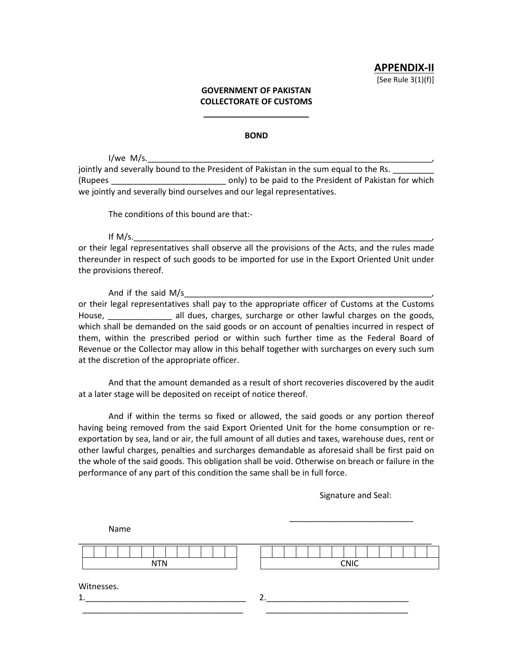**APPENDIX-II** [See Rule 3(1)(f)]

#### **GOVERNMENT OF PAKISTAN COLLECTORATE OF CUSTOMS**

**\_\_\_\_\_\_\_\_\_\_\_\_\_\_\_\_\_\_\_\_\_\_\_**

#### **BOND**

 $I/we$  M/s.

jointly and severally bound to the President of Pakistan in the sum equal to the Rs. (Rupees  $\qquad \qquad \text{only}$ ) to be paid to the President of Pakistan for which we jointly and severally bind ourselves and our legal representatives.

The conditions of this bound are that:-

If M/s.\_\_\_\_\_\_\_\_\_\_\_\_\_\_\_\_\_\_\_\_\_\_\_\_\_\_\_\_\_\_\_\_\_\_\_\_\_\_\_\_\_\_\_\_\_\_\_\_\_\_\_\_\_\_\_\_\_\_\_\_\_\_\_\_\_,

or their legal representatives shall observe all the provisions of the Acts, and the rules made thereunder in respect of such goods to be imported for use in the Export Oriented Unit under the provisions thereof.

And if the said  $M/s$ or their legal representatives shall pay to the appropriate officer of Customs at the Customs House, **Example 2** all dues, charges, surcharge or other lawful charges on the goods, which shall be demanded on the said goods or on account of penalties incurred in respect of them, within the prescribed period or within such further time as the Federal Board of Revenue or the Collector may allow in this behalf together with surcharges on every such sum at the discretion of the appropriate officer.

And that the amount demanded as a result of short recoveries discovered by the audit at a later stage will be deposited on receipt of notice thereof.

And if within the terms so fixed or allowed, the said goods or any portion thereof having being removed from the said Export Oriented Unit for the home consumption or reexportation by sea, land or air, the full amount of all duties and taxes, warehouse dues, rent or other lawful charges, penalties and surcharges demandable as aforesaid shall be first paid on the whole of the said goods. This obligation shall be void. Otherwise on breach or failure in the performance of any part of this condition the same shall be in full force.

Signature and Seal:

\_\_\_\_\_\_\_\_\_\_\_\_\_\_\_\_\_\_\_\_\_\_\_\_\_\_\_

| Name       |             |
|------------|-------------|
| <b>NTN</b> | <b>CNIC</b> |
| Witnesses. |             |
| 1.         | ົ           |
|            |             |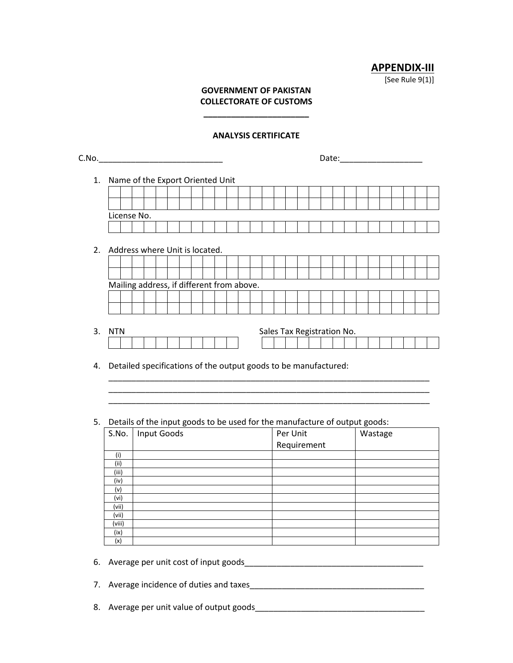**APPENDIX-III**

[See Rule 9(1)]

# **GOVERNMENT OF PAKISTAN COLLECTORATE OF CUSTOMS**

**\_\_\_\_\_\_\_\_\_\_\_\_\_\_\_\_\_\_\_\_\_\_\_**

#### **ANALYSIS CERTIFICATE**

|          |                 |  | Name of the Export Oriented Unit          |  |  |  |  |                                                                            |  |             |  |  |         |  |  |
|----------|-----------------|--|-------------------------------------------|--|--|--|--|----------------------------------------------------------------------------|--|-------------|--|--|---------|--|--|
|          |                 |  |                                           |  |  |  |  |                                                                            |  |             |  |  |         |  |  |
|          | License No.     |  |                                           |  |  |  |  |                                                                            |  |             |  |  |         |  |  |
|          |                 |  |                                           |  |  |  |  |                                                                            |  |             |  |  |         |  |  |
|          |                 |  |                                           |  |  |  |  |                                                                            |  |             |  |  |         |  |  |
| 2.       |                 |  | Address where Unit is located.            |  |  |  |  |                                                                            |  |             |  |  |         |  |  |
|          |                 |  |                                           |  |  |  |  |                                                                            |  |             |  |  |         |  |  |
|          |                 |  |                                           |  |  |  |  |                                                                            |  |             |  |  |         |  |  |
|          |                 |  |                                           |  |  |  |  |                                                                            |  |             |  |  |         |  |  |
|          |                 |  | Mailing address, if different from above. |  |  |  |  |                                                                            |  |             |  |  |         |  |  |
|          |                 |  |                                           |  |  |  |  |                                                                            |  |             |  |  |         |  |  |
|          |                 |  |                                           |  |  |  |  |                                                                            |  |             |  |  |         |  |  |
|          |                 |  |                                           |  |  |  |  |                                                                            |  |             |  |  |         |  |  |
| 3.       | <b>NTN</b>      |  |                                           |  |  |  |  | Sales Tax Registration No.                                                 |  |             |  |  |         |  |  |
|          |                 |  |                                           |  |  |  |  |                                                                            |  |             |  |  |         |  |  |
|          |                 |  |                                           |  |  |  |  | Detailed specifications of the output goods to be manufactured:            |  |             |  |  |         |  |  |
|          |                 |  |                                           |  |  |  |  |                                                                            |  |             |  |  |         |  |  |
|          |                 |  |                                           |  |  |  |  | Details of the input goods to be used for the manufacture of output goods: |  |             |  |  |         |  |  |
|          | S.No.           |  | <b>Input Goods</b>                        |  |  |  |  |                                                                            |  | Per Unit    |  |  | Wastage |  |  |
|          |                 |  |                                           |  |  |  |  |                                                                            |  | Requirement |  |  |         |  |  |
|          | (i)<br>(i)      |  |                                           |  |  |  |  |                                                                            |  |             |  |  |         |  |  |
|          | (iii)           |  |                                           |  |  |  |  |                                                                            |  |             |  |  |         |  |  |
|          | (iv)            |  |                                           |  |  |  |  |                                                                            |  |             |  |  |         |  |  |
|          | (v)             |  |                                           |  |  |  |  |                                                                            |  |             |  |  |         |  |  |
|          | (vi)            |  |                                           |  |  |  |  |                                                                            |  |             |  |  |         |  |  |
|          | (vii)           |  |                                           |  |  |  |  |                                                                            |  |             |  |  |         |  |  |
|          | (vii)<br>(viii) |  |                                           |  |  |  |  |                                                                            |  |             |  |  |         |  |  |
|          | (ix)            |  |                                           |  |  |  |  |                                                                            |  |             |  |  |         |  |  |
| 4.<br>5. | (x)             |  |                                           |  |  |  |  |                                                                            |  |             |  |  |         |  |  |

8. Average per unit value of output goods\_\_\_\_\_\_\_\_\_\_\_\_\_\_\_\_\_\_\_\_\_\_\_\_\_\_\_\_\_\_\_\_\_\_\_\_\_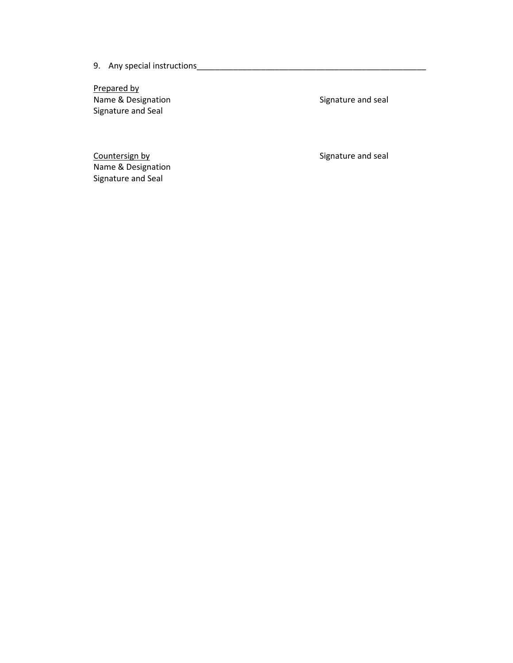9. Any special instructions\_\_\_\_\_\_\_\_\_\_\_\_\_\_\_\_\_\_\_\_\_\_\_\_\_\_\_\_\_\_\_\_\_\_\_\_\_\_\_\_\_\_\_\_\_\_\_\_\_\_

Prepared by Name & Designation Signature and seal Signature and Seal

Countersign by Countersign by Signature and seal Name & Designation Signature and Seal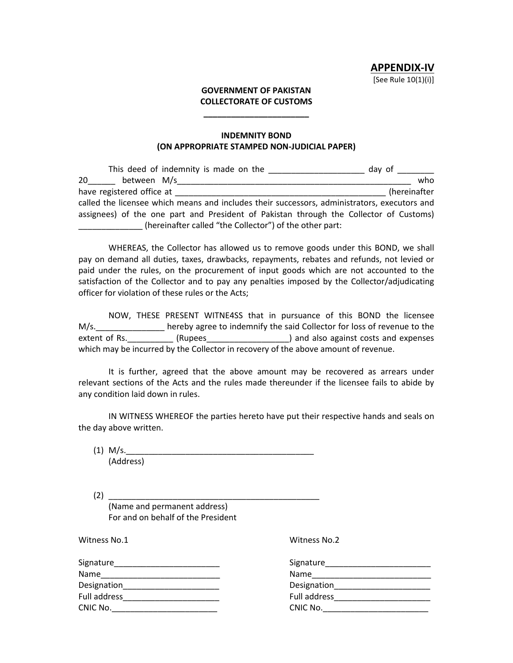#### **GOVERNMENT OF PAKISTAN COLLECTORATE OF CUSTOMS**

**\_\_\_\_\_\_\_\_\_\_\_\_\_\_\_\_\_\_\_\_\_\_\_**

#### **INDEMNITY BOND (ON APPROPRIATE STAMPED NON-JUDICIAL PAPER)**

| This deed of indemnity is made on the                                                        | day of       |
|----------------------------------------------------------------------------------------------|--------------|
| between M/s<br>20                                                                            | who          |
| have registered office at                                                                    | (hereinafter |
| called the licensee which means and includes their successors, administrators, executors and |              |
| assignees) of the one part and President of Pakistan through the Collector of Customs)       |              |
| (hereinafter called "the Collector") of the other part:                                      |              |

WHEREAS, the Collector has allowed us to remove goods under this BOND, we shall pay on demand all duties, taxes, drawbacks, repayments, rebates and refunds, not levied or paid under the rules, on the procurement of input goods which are not accounted to the satisfaction of the Collector and to pay any penalties imposed by the Collector/adjudicating officer for violation of these rules or the Acts;

NOW, THESE PRESENT WITNE4SS that in pursuance of this BOND the licensee M/s.\_\_\_\_\_\_\_\_\_\_\_\_\_\_\_ hereby agree to indemnify the said Collector for loss of revenue to the extent of Rs. \_\_\_\_\_\_\_\_\_ (Rupees\_\_\_\_\_\_\_\_\_\_\_\_\_\_\_\_\_\_) and also against costs and expenses which may be incurred by the Collector in recovery of the above amount of revenue.

It is further, agreed that the above amount may be recovered as arrears under relevant sections of the Acts and the rules made thereunder if the licensee fails to abide by any condition laid down in rules.

IN WITNESS WHEREOF the parties hereto have put their respective hands and seals on the day above written.

 $(1)$  M/s. (Address)

(2) \_\_\_\_\_\_\_\_\_\_\_\_\_\_\_\_\_\_\_\_\_\_\_\_\_\_\_\_\_\_\_\_\_\_\_\_\_\_\_\_\_\_\_\_\_\_ (Name and permanent address) For and on behalf of the President

Witness No.1 Witness No.2

| Signature    | Signature    |
|--------------|--------------|
| Name         | <b>Name</b>  |
| Designation  | Designation  |
| Full address | Full address |
| CNIC No.     | CNIC No.     |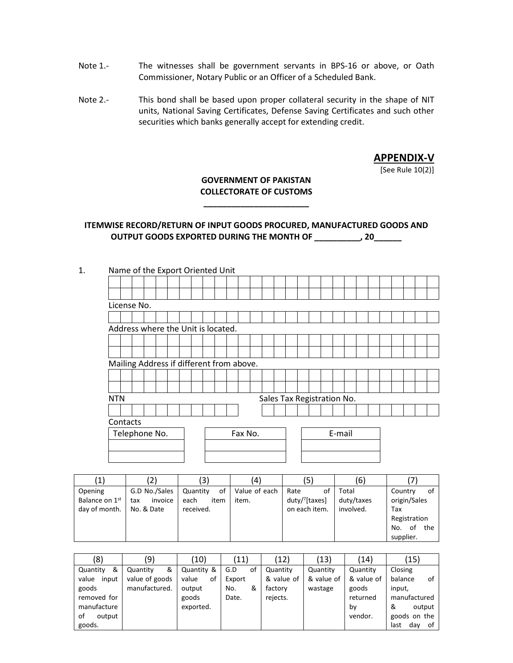- Note 1.- The witnesses shall be government servants in BPS-16 or above, or Oath Commissioner, Notary Public or an Officer of a Scheduled Bank.
- Note 2.- This bond shall be based upon proper collateral security in the shape of NIT units, National Saving Certificates, Defense Saving Certificates and such other securities which banks generally accept for extending credit.

**APPENDIX-V**

[See Rule 10(2)]

# **GOVERNMENT OF PAKISTAN COLLECTORATE OF CUSTOMS**

**\_\_\_\_\_\_\_\_\_\_\_\_\_\_\_\_\_\_\_\_\_\_\_**

# **ITEMWISE RECORD/RETURN OF INPUT GOODS PROCURED, MANUFACTURED GOODS AND OUTPUT GOODS EXPORTED DURING THE MONTH OF \_\_\_\_\_\_\_\_\_\_, 20\_\_\_\_\_\_**

|            |                                          |  | Name of the Export Oriented Unit |  |  |         |                            |  |  |        |  |  |  |  |
|------------|------------------------------------------|--|----------------------------------|--|--|---------|----------------------------|--|--|--------|--|--|--|--|
|            |                                          |  |                                  |  |  |         |                            |  |  |        |  |  |  |  |
|            |                                          |  |                                  |  |  |         |                            |  |  |        |  |  |  |  |
|            | License No.                              |  |                                  |  |  |         |                            |  |  |        |  |  |  |  |
|            |                                          |  |                                  |  |  |         |                            |  |  |        |  |  |  |  |
|            | Address where the Unit is located.       |  |                                  |  |  |         |                            |  |  |        |  |  |  |  |
|            |                                          |  |                                  |  |  |         |                            |  |  |        |  |  |  |  |
|            |                                          |  |                                  |  |  |         |                            |  |  |        |  |  |  |  |
|            | Mailing Address if different from above. |  |                                  |  |  |         |                            |  |  |        |  |  |  |  |
|            |                                          |  |                                  |  |  |         |                            |  |  |        |  |  |  |  |
|            |                                          |  |                                  |  |  |         |                            |  |  |        |  |  |  |  |
| <b>NTN</b> |                                          |  |                                  |  |  |         | Sales Tax Registration No. |  |  |        |  |  |  |  |
|            |                                          |  |                                  |  |  |         |                            |  |  |        |  |  |  |  |
|            | Contacts                                 |  |                                  |  |  |         |                            |  |  |        |  |  |  |  |
|            | Telephone No.                            |  |                                  |  |  | Fax No. |                            |  |  | E-mail |  |  |  |  |
|            |                                          |  |                                  |  |  |         |                            |  |  |        |  |  |  |  |
|            |                                          |  |                                  |  |  |         |                            |  |  |        |  |  |  |  |
|            |                                          |  |                                  |  |  |         |                            |  |  |        |  |  |  |  |

|                | $\left( 2\right)$ | (3)            | $\left( 4\right)$ | (5)                        | (6)        |               |
|----------------|-------------------|----------------|-------------------|----------------------------|------------|---------------|
| Opening        | G.D No./Sales     | 0f<br>Quantity | Value of each     | Rate<br>οf                 | Total      | Country<br>оf |
| Balance on 1st | invoice<br>tax    | each<br>item   | item.             | duty/ <sup>7</sup> [taxes] | duty/taxes | origin/Sales  |
| day of month.  | No. & Date        | received.      |                   | on each item.              | involved.  | Tax           |
|                |                   |                |                   |                            |            | Registration  |
|                |                   |                |                   |                            |            | of the<br>No. |
|                |                   |                |                   |                            |            | supplier.     |

| (8)            | (9)            | 10)         | (11)      | (12)       | (13)       | (14)       | (15)              |
|----------------|----------------|-------------|-----------|------------|------------|------------|-------------------|
| &<br>Quantity  | &<br>Quantity  | Quantity &  | G.D<br>οt | Quantity   | Quantity   | Quantity   | Closing           |
| value<br>input | value of goods | value<br>οf | Export    | & value of | & value of | & value of | balance<br>of     |
| goods          | manufactured.  | output      | &<br>No.  | factory    | wastage    | goods      | input,            |
| removed for    |                | goods       | Date.     | rejects.   |            | returned   | manufactured      |
| manufacture    |                | exported.   |           |            |            | bv         | &<br>output       |
| οf<br>output   |                |             |           |            |            | vendor.    | goods on the      |
| goods.         |                |             |           |            |            |            | day<br>last<br>0f |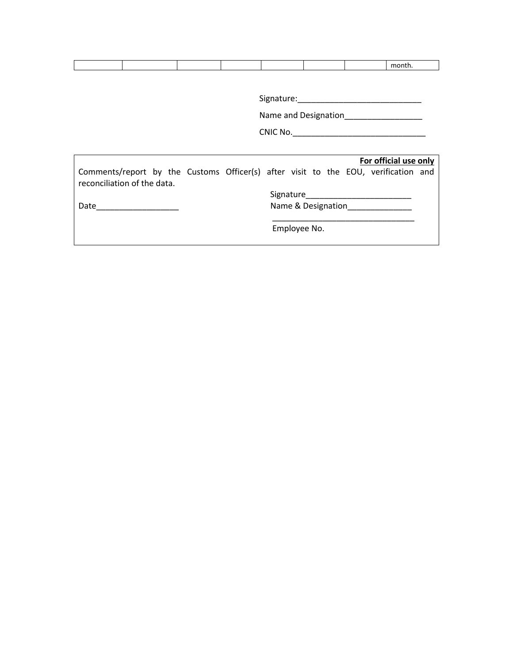Signature:\_\_\_\_\_\_\_\_\_\_\_\_\_\_\_\_\_\_\_\_\_\_\_\_\_\_\_

Name and Designation\_\_\_\_\_\_\_\_\_\_\_\_\_\_\_\_\_\_

CNIC No.\_\_\_\_\_\_\_\_\_\_\_\_\_\_\_\_\_\_\_\_\_\_\_\_\_\_\_\_\_

|                                                                                                                   |  |                            |  |                    | For official use only |  |
|-------------------------------------------------------------------------------------------------------------------|--|----------------------------|--|--------------------|-----------------------|--|
| Comments/report by the Customs Officer(s) after visit to the EOU, verification and<br>reconciliation of the data. |  |                            |  |                    |                       |  |
|                                                                                                                   |  | Signature <b>Signature</b> |  |                    |                       |  |
| Date                                                                                                              |  |                            |  | Name & Designation |                       |  |
|                                                                                                                   |  | Employee No.               |  |                    |                       |  |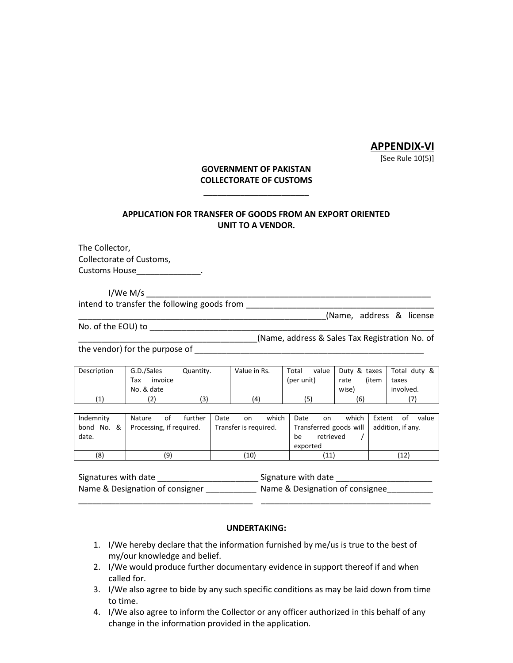# **APPENDIX-VI**

[See Rule 10(5)]

## **GOVERNMENT OF PAKISTAN COLLECTORATE OF CUSTOMS**

**\_\_\_\_\_\_\_\_\_\_\_\_\_\_\_\_\_\_\_\_\_\_\_**

# **APPLICATION FOR TRANSFER OF GOODS FROM AN EXPORT ORIENTED UNIT TO A VENDOR.**

The Collector, Collectorate of Customs, Customs House\_\_\_\_\_\_\_\_\_\_\_\_\_\_\_\_.

I/We M/s \_\_\_\_\_\_\_\_\_\_\_\_\_\_\_\_\_\_\_\_\_\_\_\_\_\_\_\_\_\_\_\_\_\_\_\_\_\_\_\_\_\_\_\_\_\_\_\_\_\_\_\_\_\_\_\_\_\_\_\_\_\_

intend to transfer the following goods from **with an alleger of the set of the set of the set of the set of the set of the set of the set of the set of the set of the set of the set of the set of the set of the set of the** \_\_\_\_\_\_\_\_\_\_\_\_\_\_\_\_\_\_\_\_\_\_\_\_\_\_\_\_\_\_\_\_\_\_\_\_\_\_\_\_\_\_\_\_\_\_\_\_\_\_\_\_\_\_(Name, address & license

No. of the EOU) to \_\_\_\_\_\_\_\_\_\_\_\_\_\_\_\_\_\_\_\_\_\_\_\_\_\_\_\_\_\_\_\_\_\_\_\_\_\_\_\_\_\_\_\_\_\_\_\_\_\_\_\_\_\_\_\_\_\_\_\_\_\_

\_\_\_\_\_\_\_\_\_\_\_\_\_\_\_\_\_\_\_\_\_\_\_\_\_\_\_\_\_\_\_\_\_\_\_\_\_\_\_(Name, address & Sales Tax Registration No. of

the vendor) for the purpose of \_\_\_\_\_\_\_\_\_\_\_\_\_\_\_\_\_\_\_\_\_\_\_\_\_\_\_\_\_\_\_\_\_\_\_\_\_\_\_\_\_\_\_\_\_\_\_\_\_\_

| Description | G.D./Sales     | Quantity. | Value in Rs. | Total<br>value | Duty & taxes  | Total duty & |
|-------------|----------------|-----------|--------------|----------------|---------------|--------------|
|             | invoice<br>Tax |           |              | (per unit)     | (item<br>rate | taxes        |
|             | No. & date     |           |              |                | wisel         | involved.    |
| (1)         | (2)            | (3        | (4)          | (5)            | (6)           |              |

| Indemnity  | further<br>οf<br>Nature  | which<br>Date<br>on.  | which I<br>Date<br>on                    | Extent<br>value<br>of |
|------------|--------------------------|-----------------------|------------------------------------------|-----------------------|
| bond No. & | Processing, if required. | Transfer is required. | Transferred goods will addition, if any. |                       |
| date.      |                          |                       | retrieved<br>be                          |                       |
|            |                          |                       | exported                                 |                       |
| (8)        | (9)                      | (10)                  | $\left(11\right)$                        | '12)                  |

| Signatures with date            | Signature with date             |
|---------------------------------|---------------------------------|
| Name & Designation of consigner | Name & Designation of consignee |

\_\_\_\_\_\_\_\_\_\_\_\_\_\_\_\_\_\_\_\_\_\_\_\_\_\_\_\_\_\_\_\_\_\_\_\_\_\_ \_\_\_\_\_\_\_\_\_\_\_\_\_\_\_\_\_\_\_\_\_\_\_\_\_\_\_\_\_\_\_\_\_\_\_\_\_

#### **UNDERTAKING:**

- 1. I/We hereby declare that the information furnished by me/us is true to the best of my/our knowledge and belief.
- 2. I/We would produce further documentary evidence in support thereof if and when called for.
- 3. I/We also agree to bide by any such specific conditions as may be laid down from time to time.
- 4. I/We also agree to inform the Collector or any officer authorized in this behalf of any change in the information provided in the application.